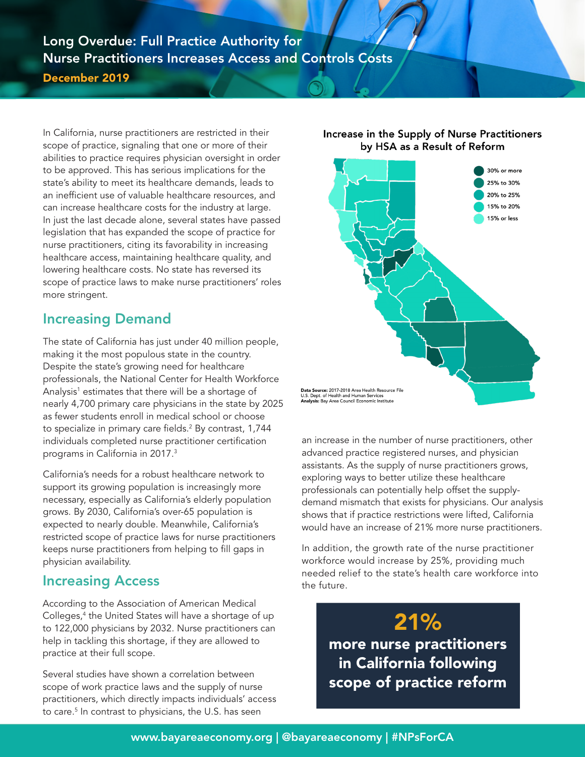#### Long Overdue: Full Practice Authority for Nurse Practitioners Increases Access and Controls Costs December 2019

In California, nurse practitioners are restricted in their scope of practice, signaling that one or more of their abilities to practice requires physician oversight in order to be approved. This has serious implications for the state's ability to meet its healthcare demands, leads to an inefficient use of valuable healthcare resources, and can increase healthcare costs for the industry at large. In just the last decade alone, several states have passed legislation that has expanded the scope of practice for nurse practitioners, citing its favorability in increasing healthcare access, maintaining healthcare quality, and lowering healthcare costs. No state has reversed its scope of practice laws to make nurse practitioners' roles more stringent.

## Increasing Demand

The state of California has just under 40 million people, making it the most populous state in the country. Despite the state's growing need for healthcare professionals, the National Center for Health Workforce Analysis<sup>1</sup> estimates that there will be a shortage of nearly 4,700 primary care physicians in the state by 2025 as fewer students enroll in medical school or choose to specialize in primary care fields.2 By contrast, 1,744 individuals completed nurse practitioner certification programs in California in 2017.<sup>3</sup>

California's needs for a robust healthcare network to support its growing population is increasingly more necessary, especially as California's elderly population grows. By 2030, California's over-65 population is expected to nearly double. Meanwhile, California's restricted scope of practice laws for nurse practitioners keeps nurse practitioners from helping to fill gaps in physician availability.

## Increasing Access

According to the Association of American Medical Colleges,<sup>4</sup> the United States will have a shortage of up to 122,000 physicians by 2032. Nurse practitioners can help in tackling this shortage, if they are allowed to practice at their full scope.

Several studies have shown a correlation between scope of work practice laws and the supply of nurse practitioners, which directly impacts individuals' access to care.<sup>5</sup> In contrast to physicians, the U.S. has seen

#### Increase in the Supply of Nurse Practitioners by HSA as a Result of Reform



an increase in the number of nurse practitioners, other advanced practice registered nurses, and physician assistants. As the supply of nurse practitioners grows, exploring ways to better utilize these healthcare professionals can potentially help offset the supplydemand mismatch that exists for physicians. Our analysis shows that if practice restrictions were lifted, California would have an increase of 21% more nurse practitioners.

In addition, the growth rate of the nurse practitioner workforce would increase by 25%, providing much needed relief to the state's health care workforce into the future.

> **21%**<br>more nurse practitioners in California following scope of practice reform